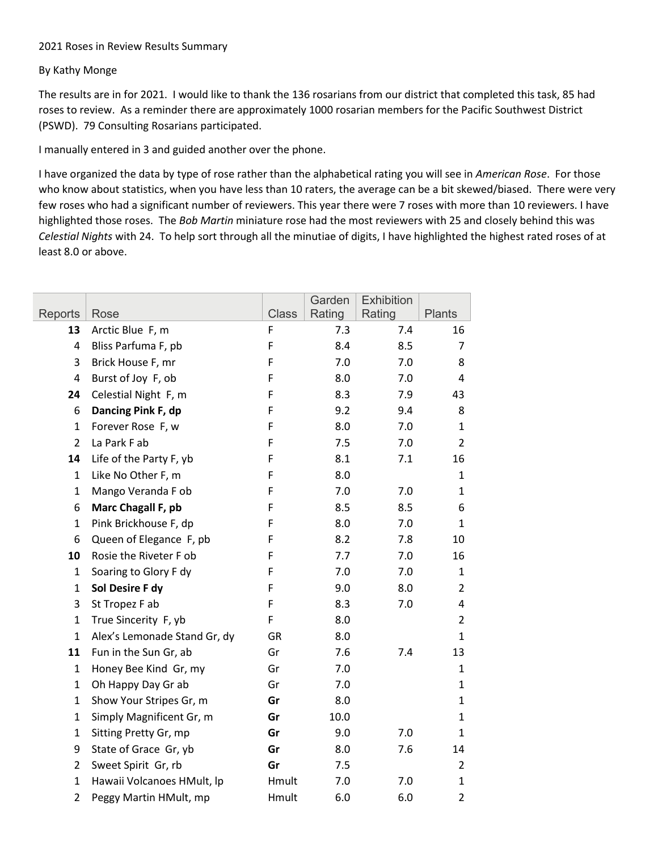## Roses in Review Results Summary

## By Kathy Monge

The results are in for 2021. I would like to thank the 136 rosarians from our district that completed this task, 85 had roses to review. As a reminder there are approximately 1000 rosarian members for the Pacific Southwest District (PSWD). 79 Consulting Rosarians participated.

I manually entered in 3 and guided another over the phone.

I have organized the data by type of rose rather than the alphabeticalrating you will see in *American Rose*. For those who know about statistics, when you have less than 10 raters, the average can be a bit skewed/biased. There were very few roses who had a significant number of reviewers. This year there were 7 roses with more than 10 reviewers. Ihave highlighted those roses.The *Bob Martin* miniature rose had the most reviewers with 25 and closely behind this was *Celestial Nights* with 24. To help sort through all the minutiae of digits, I have highlighted the highest rated roses of at least 8.0 or above.

|                |                              |              | Garden | <b>Exhibition</b> |                |
|----------------|------------------------------|--------------|--------|-------------------|----------------|
| Reports        | Rose                         | <b>Class</b> | Rating | Rating            | <b>Plants</b>  |
| 13             | Arctic Blue F, m             | F            | 7.3    | 7.4               | 16             |
| 4              | Bliss Parfuma F, pb          | F            | 8.4    | 8.5               | 7              |
| 3              | Brick House F, mr            | F            | 7.0    | 7.0               | 8              |
| 4              | Burst of Joy F, ob           | F            | 8.0    | 7.0               | 4              |
| 24             | Celestial Night F, m         | F            | 8.3    | 7.9               | 43             |
| 6              | Dancing Pink F, dp           | F            | 9.2    | 9.4               | 8              |
| $\mathbf{1}$   | Forever Rose F, w            | F            | 8.0    | 7.0               | $\mathbf{1}$   |
| $\overline{2}$ | La Park F ab                 | F            | 7.5    | 7.0               | 2              |
| 14             | Life of the Party F, yb      | F            | 8.1    | 7.1               | 16             |
| $\mathbf{1}$   | Like No Other F, m           | F            | 8.0    |                   | 1              |
| 1              | Mango Veranda F ob           | F            | 7.0    | 7.0               | 1              |
| 6              | Marc Chagall F, pb           | F            | 8.5    | 8.5               | 6              |
| $\mathbf{1}$   | Pink Brickhouse F, dp        | F            | 8.0    | 7.0               | $\mathbf{1}$   |
| 6              | Queen of Elegance F, pb      | F            | 8.2    | 7.8               | 10             |
| 10             | Rosie the Riveter F ob       | F            | 7.7    | 7.0               | 16             |
| $\mathbf{1}$   | Soaring to Glory F dy        | F            | 7.0    | 7.0               | 1              |
| $\mathbf{1}$   | Sol Desire F dy              | F            | 9.0    | 8.0               | $\overline{2}$ |
| 3              | St Tropez F ab               | F            | 8.3    | 7.0               | 4              |
| $\mathbf{1}$   | True Sincerity F, yb         | F            | 8.0    |                   | $\overline{2}$ |
| $\mathbf{1}$   | Alex's Lemonade Stand Gr, dy | GR           | 8.0    |                   | 1              |
| 11             | Fun in the Sun Gr, ab        | Gr           | 7.6    | 7.4               | 13             |
| $\mathbf{1}$   | Honey Bee Kind Gr, my        | Gr           | 7.0    |                   | 1              |
| $\mathbf{1}$   | Oh Happy Day Gr ab           | Gr           | 7.0    |                   | $\mathbf 1$    |
| $\mathbf{1}$   | Show Your Stripes Gr, m      | Gr           | 8.0    |                   | $\mathbf{1}$   |
| $\mathbf{1}$   | Simply Magnificent Gr, m     | Gr           | 10.0   |                   | 1              |
| $\mathbf{1}$   | Sitting Pretty Gr, mp        | Gr           | 9.0    | 7.0               | 1              |
| 9              | State of Grace Gr, yb        | Gr           | 8.0    | 7.6               | 14             |
| $\overline{2}$ | Sweet Spirit Gr, rb          | Gr           | 7.5    |                   | $\overline{2}$ |
| $\mathbf{1}$   | Hawaii Volcanoes HMult, lp   | Hmult        | 7.0    | 7.0               | $\mathbf{1}$   |
| $\overline{2}$ | Peggy Martin HMult, mp       | Hmult        | 6.0    | 6.0               | $\overline{2}$ |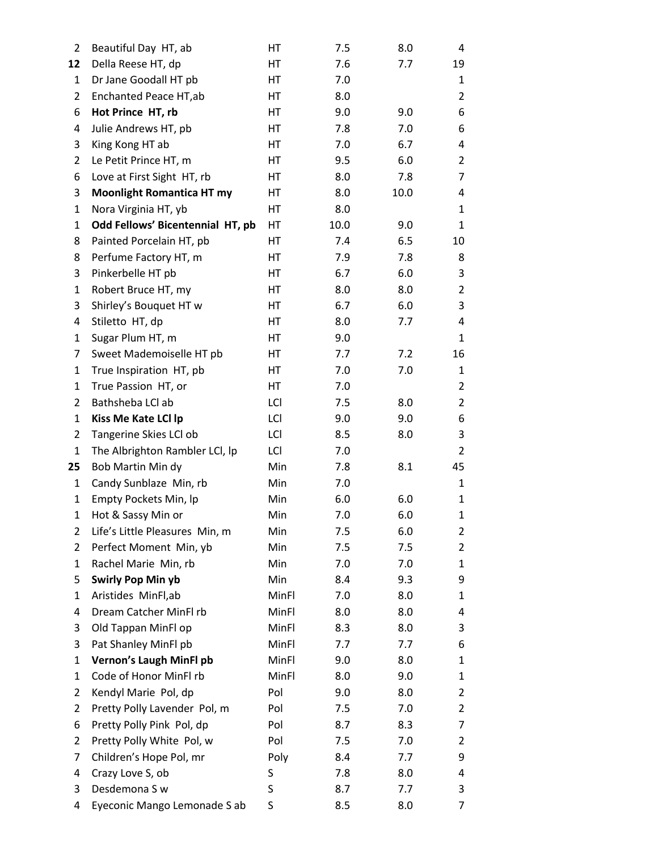| $\overline{2}$ | Beautiful Day HT, ab             | HT    | 7.5  | 8.0  | 4              |
|----------------|----------------------------------|-------|------|------|----------------|
| 12             | Della Reese HT, dp               | HT    | 7.6  | 7.7  | 19             |
| 1              | Dr Jane Goodall HT pb            | HT    | 7.0  |      | 1              |
| 2              | Enchanted Peace HT, ab           | HT    | 8.0  |      | $\overline{2}$ |
| 6              | Hot Prince HT, rb                | НT    | 9.0  | 9.0  | 6              |
| 4              | Julie Andrews HT, pb             | НT    | 7.8  | 7.0  | 6              |
| 3              | King Kong HT ab                  | НT    | 7.0  | 6.7  | 4              |
| 2              | Le Petit Prince HT, m            | HT    | 9.5  | 6.0  | $\overline{2}$ |
| 6              | Love at First Sight HT, rb       | НT    | 8.0  | 7.8  | 7              |
| 3              | <b>Moonlight Romantica HT my</b> | НT    | 8.0  | 10.0 | 4              |
| 1              | Nora Virginia HT, yb             | HT    | 8.0  |      | 1              |
| 1              | Odd Fellows' Bicentennial HT, pb | HT    | 10.0 | 9.0  | 1              |
| 8              | Painted Porcelain HT, pb         | HT    | 7.4  | 6.5  | 10             |
| 8              | Perfume Factory HT, m            | НT    | 7.9  | 7.8  | 8              |
| 3              | Pinkerbelle HT pb                | НT    | 6.7  | 6.0  | 3              |
| 1              | Robert Bruce HT, my              | HT    | 8.0  | 8.0  | $\overline{2}$ |
| 3              | Shirley's Bouquet HT w           | НT    | 6.7  | 6.0  | 3              |
| 4              | Stiletto HT, dp                  | НT    | 8.0  | 7.7  | 4              |
| 1              | Sugar Plum HT, m                 | НT    | 9.0  |      | 1              |
| 7              | Sweet Mademoiselle HT pb         | HT    | 7.7  | 7.2  | 16             |
| 1              | True Inspiration HT, pb          | HT    | 7.0  | 7.0  | 1              |
| 1              | True Passion HT, or              | HT    | 7.0  |      | $\overline{2}$ |
| 2              | Bathsheba LCl ab                 | LCI   | 7.5  | 8.0  | $\overline{2}$ |
| 1              | Kiss Me Kate LCI Ip              | LCI   | 9.0  | 9.0  | 6              |
| 2              | Tangerine Skies LCl ob           | LCI   | 8.5  | 8.0  | 3              |
| 1              | The Albrighton Rambler LCI, Ip   | LCI   | 7.0  |      | $\overline{2}$ |
| 25             | Bob Martin Min dy                | Min   | 7.8  | 8.1  | 45             |
| 1              | Candy Sunblaze Min, rb           | Min   | 7.0  |      | $\mathbf{1}$   |
| 1              | Empty Pockets Min, Ip            | Min   | 6.0  | 6.0  | 1              |
| $\mathbf{1}$   | Hot & Sassy Min or               | Min   | 7.0  | 6.0  | 1              |
| $\overline{2}$ | Life's Little Pleasures Min, m   | Min   | 7.5  | 6.0  | $\overline{2}$ |
| 2              | Perfect Moment Min, yb           | Min   | 7.5  | 7.5  | $\overline{2}$ |
| 1              | Rachel Marie Min, rb             | Min   | 7.0  | 7.0  | 1              |
| 5              | <b>Swirly Pop Min yb</b>         | Min   | 8.4  | 9.3  | 9              |
| 1              | Aristides MinFl,ab               | MinFl | 7.0  | 8.0  | 1              |
| 4              | Dream Catcher MinFl rb           | MinFl | 8.0  | 8.0  | 4              |
| 3              | Old Tappan MinFl op              | MinFl | 8.3  | 8.0  | 3              |
| 3              | Pat Shanley MinFl pb             | MinFl | 7.7  | 7.7  | 6              |
| 1              | Vernon's Laugh MinFl pb          | MinFl | 9.0  | 8.0  | 1              |
| 1              | Code of Honor MinFl rb           | MinFl | 8.0  | 9.0  | 1              |
| 2              | Kendyl Marie Pol, dp             | Pol   | 9.0  | 8.0  | $\overline{2}$ |
| 2              | Pretty Polly Lavender Pol, m     | Pol   | 7.5  | 7.0  | $\overline{2}$ |
| 6              | Pretty Polly Pink Pol, dp        | Pol   | 8.7  | 8.3  | 7              |
| 2              | Pretty Polly White Pol, w        | Pol   | 7.5  | 7.0  | $\overline{2}$ |
| 7              | Children's Hope Pol, mr          | Poly  | 8.4  | 7.7  | 9              |
| 4              | Crazy Love S, ob                 | S     | 7.8  | 8.0  | 4              |
| 3              | Desdemona S w                    | S     | 8.7  | 7.7  | 3              |
| 4              | Eyeconic Mango Lemonade S ab     | S     | 8.5  | 8.0  | 7              |
|                |                                  |       |      |      |                |